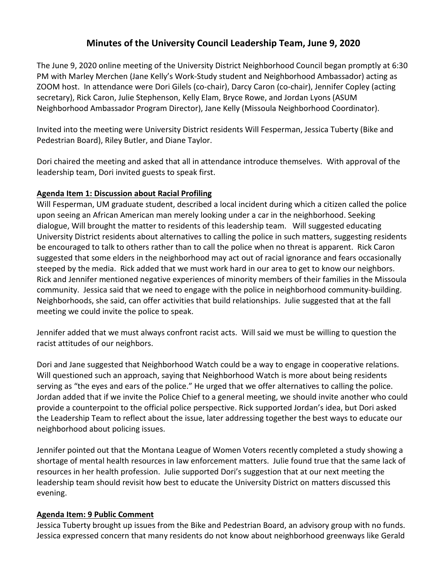# **Minutes of the University Council Leadership Team, June 9, 2020**

The June 9, 2020 online meeting of the University District Neighborhood Council began promptly at 6:30 PM with Marley Merchen (Jane Kelly's Work-Study student and Neighborhood Ambassador) acting as ZOOM host. In attendance were Dori Gilels (co-chair), Darcy Caron (co-chair), Jennifer Copley (acting secretary), Rick Caron, Julie Stephenson, Kelly Elam, Bryce Rowe, and Jordan Lyons (ASUM Neighborhood Ambassador Program Director), Jane Kelly (Missoula Neighborhood Coordinator).

Invited into the meeting were University District residents Will Fesperman, Jessica Tuberty (Bike and Pedestrian Board), Riley Butler, and Diane Taylor.

Dori chaired the meeting and asked that all in attendance introduce themselves. With approval of the leadership team, Dori invited guests to speak first.

## **Agenda Item 1: Discussion about Racial Profiling**

Will Fesperman, UM graduate student, described a local incident during which a citizen called the police upon seeing an African American man merely looking under a car in the neighborhood. Seeking dialogue, Will brought the matter to residents of this leadership team. Will suggested educating University District residents about alternatives to calling the police in such matters, suggesting residents be encouraged to talk to others rather than to call the police when no threat is apparent. Rick Caron suggested that some elders in the neighborhood may act out of racial ignorance and fears occasionally steeped by the media. Rick added that we must work hard in our area to get to know our neighbors. Rick and Jennifer mentioned negative experiences of minority members of their families in the Missoula community. Jessica said that we need to engage with the police in neighborhood community-building. Neighborhoods, she said, can offer activities that build relationships. Julie suggested that at the fall meeting we could invite the police to speak.

Jennifer added that we must always confront racist acts. Will said we must be willing to question the racist attitudes of our neighbors.

Dori and Jane suggested that Neighborhood Watch could be a way to engage in cooperative relations. Will questioned such an approach, saying that Neighborhood Watch is more about being residents serving as "the eyes and ears of the police." He urged that we offer alternatives to calling the police. Jordan added that if we invite the Police Chief to a general meeting, we should invite another who could provide a counterpoint to the official police perspective. Rick supported Jordan's idea, but Dori asked the Leadership Team to reflect about the issue, later addressing together the best ways to educate our neighborhood about policing issues.

Jennifer pointed out that the Montana League of Women Voters recently completed a study showing a shortage of mental health resources in law enforcement matters. Julie found true that the same lack of resources in her health profession. Julie supported Dori's suggestion that at our next meeting the leadership team should revisit how best to educate the University District on matters discussed this evening.

#### **Agenda Item: 9 Public Comment**

Jessica Tuberty brought up issues from the Bike and Pedestrian Board, an advisory group with no funds. Jessica expressed concern that many residents do not know about neighborhood greenways like Gerald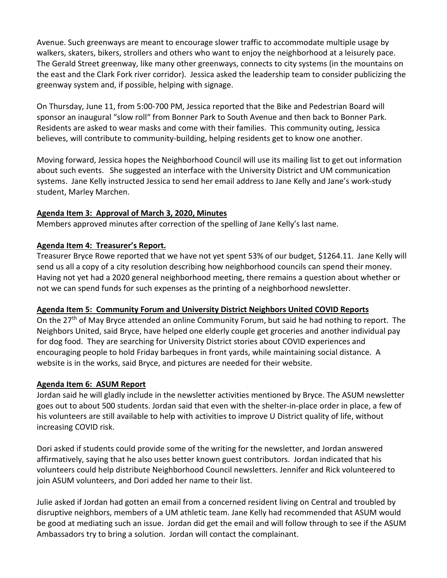Avenue. Such greenways are meant to encourage slower traffic to accommodate multiple usage by walkers, skaters, bikers, strollers and others who want to enjoy the neighborhood at a leisurely pace. The Gerald Street greenway, like many other greenways, connects to city systems (in the mountains on the east and the Clark Fork river corridor). Jessica asked the leadership team to consider publicizing the greenway system and, if possible, helping with signage.

On Thursday, June 11, from 5:00-700 PM, Jessica reported that the Bike and Pedestrian Board will sponsor an inaugural "slow roll" from Bonner Park to South Avenue and then back to Bonner Park. Residents are asked to wear masks and come with their families. This community outing, Jessica believes, will contribute to community-building, helping residents get to know one another.

Moving forward, Jessica hopes the Neighborhood Council will use its mailing list to get out information about such events. She suggested an interface with the University District and UM communication systems. Jane Kelly instructed Jessica to send her email address to Jane Kelly and Jane's work-study student, Marley Marchen.

## **Agenda Item 3: Approval of March 3, 2020, Minutes**

Members approved minutes after correction of the spelling of Jane Kelly's last name.

## **Agenda Item 4: Treasurer's Report.**

Treasurer Bryce Rowe reported that we have not yet spent 53% of our budget, \$1264.11. Jane Kelly will send us all a copy of a city resolution describing how neighborhood councils can spend their money. Having not yet had a 2020 general neighborhood meeting, there remains a question about whether or not we can spend funds for such expenses as the printing of a neighborhood newsletter.

#### **Agenda Item 5: Community Forum and University District Neighbors United COVID Reports**

On the 27<sup>th</sup> of May Bryce attended an online Community Forum, but said he had nothing to report. The Neighbors United, said Bryce, have helped one elderly couple get groceries and another individual pay for dog food. They are searching for University District stories about COVID experiences and encouraging people to hold Friday barbeques in front yards, while maintaining social distance. A website is in the works, said Bryce, and pictures are needed for their website.

# **Agenda Item 6: ASUM Report**

Jordan said he will gladly include in the newsletter activities mentioned by Bryce. The ASUM newsletter goes out to about 500 students. Jordan said that even with the shelter-in-place order in place, a few of his volunteers are still available to help with activities to improve U District quality of life, without increasing COVID risk.

Dori asked if students could provide some of the writing for the newsletter, and Jordan answered affirmatively, saying that he also uses better known guest contributors. Jordan indicated that his volunteers could help distribute Neighborhood Council newsletters. Jennifer and Rick volunteered to join ASUM volunteers, and Dori added her name to their list.

Julie asked if Jordan had gotten an email from a concerned resident living on Central and troubled by disruptive neighbors, members of a UM athletic team. Jane Kelly had recommended that ASUM would be good at mediating such an issue. Jordan did get the email and will follow through to see if the ASUM Ambassadors try to bring a solution. Jordan will contact the complainant.